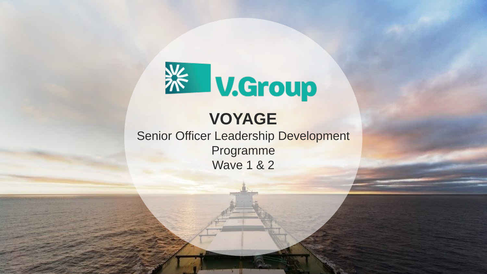

# **VOYAGE**

Senior Officer Leadership Development Programme Wave 1 & 2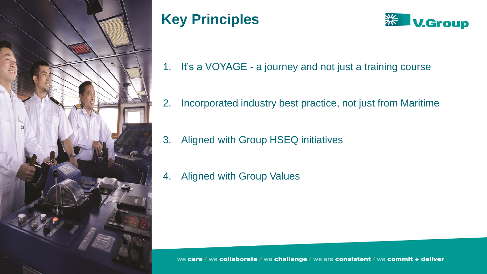

# **Key Principles**



- 1. It's a VOYAGE a journey and not just a training course
- 2. Incorporated industry best practice, not just from Maritime
- 3. Aligned with Group HSEQ initiatives
- 4. Aligned with Group Values

we care / we collaborate / we challenge / we are consistent / we commit + deliver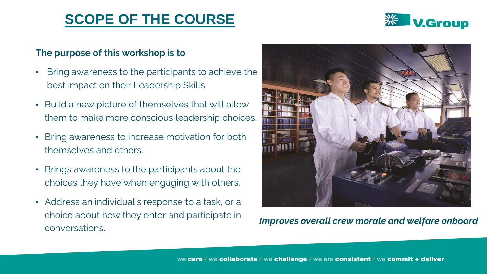# **SCOPE OF THE COURSE**



#### **The purpose of this workshop is to**

- Bring awareness to the participants to achieve the best impact on their Leadership Skills.
- Build a new picture of themselves that will allow them to make more conscious leadership choices.
- Bring awareness to increase motivation for both themselves and others.
- Brings awareness to the participants about the choices they have when engaging with others.
- Address an individual's response to a task, or a choice about how they enter and participate in conversations.



*Improves overall crew morale and welfare onboard*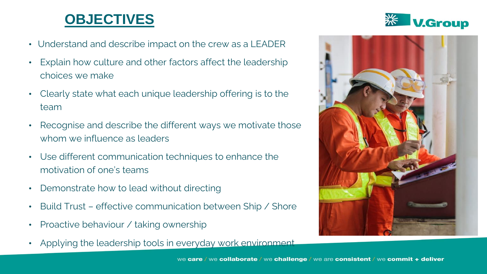# **OBJECTIVES**

- Understand and describe impact on the crew as a LEADER
- Explain how culture and other factors affect the leadership choices we make
- Clearly state what each unique leadership offering is to the team
- Recognise and describe the different ways we motivate those whom we influence as leaders
- Use different communication techniques to enhance the motivation of one's teams
- Demonstrate how to lead without directing
- Build Trust effective communication between Ship / Shore
- Proactive behaviour / taking ownership
- Applying the leadership tools in everyday work environment



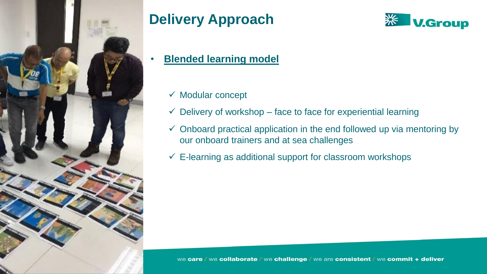

# **Delivery Approach**



#### • **Blended learning model**

- ✓ Modular concept
- $\checkmark$  Delivery of workshop face to face for experiential learning
- $\checkmark$  Onboard practical application in the end followed up via mentoring by our onboard trainers and at sea challenges
- $\checkmark$  E-learning as additional support for classroom workshops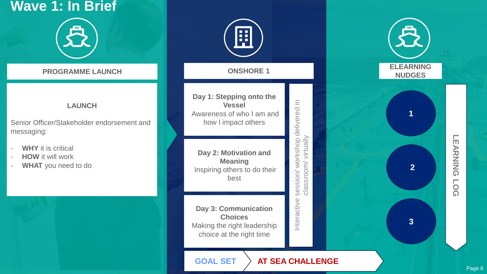# **Wave 1: In Brief** 负

#### **LAUNCH**

Senior Officer/Stakeholder endorsement and messaging:

- **WHY** it is critical
- **HOW** it will work
- WHAT you need to do

H **PROGRAMME LAUNCH CONSHORE 1 Day 1: Stepping onto the EXECUTE:**<br>
Wessel<br>
Wareness of who I am and<br>
how I impact others<br> **Day 2: Motivation and<br>
Meaning**<br>
Inspiring others to do their<br>
best<br> **Day 3: Communication**<br>
Choices<br>
Alaking the right leadership<br>
choice at the right ti **Vessel** Awareness of who I am and how I impact others **Day 2: Motivation and Meaning** Inspiring others to do their best **Day 3: Communication Choices** Making the right leadership choice at the right time

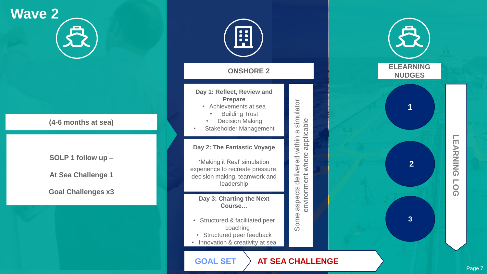# **Wave 2** <mark>分</mark>

**(4 -6 months at sea)**

**SOLP 1 follow up –**

**At Sea Challenge 1**

**Goal Challenges x3** 

| <b>ONSHORE 2</b>                                                                                                                                        |                                                                      |
|---------------------------------------------------------------------------------------------------------------------------------------------------------|----------------------------------------------------------------------|
| Day 1: Reflect, Review and<br><b>Prepare</b><br>Achievements at sea<br><b>Building Trust</b><br><b>Decision Making</b><br><b>Stakeholder Management</b> | cable                                                                |
| Day 2: The Fantastic Voyage<br>'Making it Real' simulation<br>experience to recreate pressure,<br>decision making, teamwork and<br>leadership           | Some aspects delivered within a simulator<br>environment where appli |
| Day 3: Charting the Next<br>Course<br>Structured & facilitated peer<br>coaching<br>Structured peer feedback<br>Innovation & creativity at sea           |                                                                      |
| <b>AT SEA CHALLE</b><br><b>GOAL SET</b>                                                                                                                 |                                                                      |



#### ENGE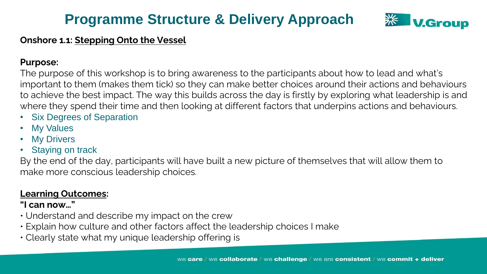

#### **Onshore 1.1: Stepping Onto the Vessel**

#### **Purpose:**

The purpose of this workshop is to bring awareness to the participants about how to lead and what's important to them (makes them tick) so they can make better choices around their actions and behaviours to achieve the best impact. The way this builds across the day is firstly by exploring what leadership is and where they spend their time and then looking at different factors that underpins actions and behaviours.

- **Six Degrees of Separation**
- **My Values**
- **My Drivers**
- **Staying on track**

By the end of the day, participants will have built a new picture of themselves that will allow them to make more conscious leadership choices.

#### **Learning Outcomes:**

- Understand and describe my impact on the crew
- Explain how culture and other factors affect the leadership choices I make
- Clearly state what my unique leadership offering is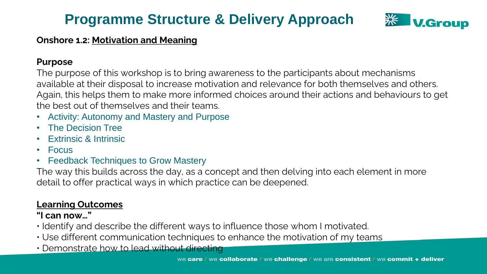

#### **Onshore 1.2: Motivation and Meaning**

#### **Purpose**

The purpose of this workshop is to bring awareness to the participants about mechanisms available at their disposal to increase motivation and relevance for both themselves and others. Again, this helps them to make more informed choices around their actions and behaviours to get the best out of themselves and their teams.

- Activity: Autonomy and Mastery and Purpose
- The Decision Tree
- Extrinsic & Intrinsic
- Focus
- Feedback Techniques to Grow Mastery

The way this builds across the day, as a concept and then delving into each element in more detail to offer practical ways in which practice can be deepened.

#### **Learning Outcomes**

- Identify and describe the different ways to influence those whom I motivated.
- Use different communication techniques to enhance the motivation of my teams
- Demonstrate how to lead without directing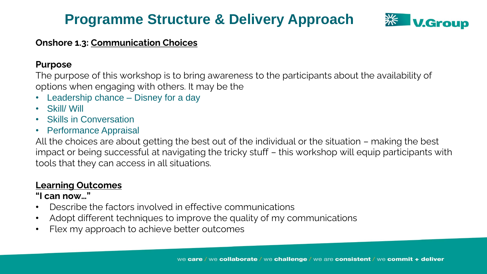

#### **Onshore 1.3: Communication Choices**

#### **Purpose**

The purpose of this workshop is to bring awareness to the participants about the availability of options when engaging with others. It may be the

- Leadership chance Disney for a day
- Skill/ Will
- Skills in Conversation
- Performance Appraisal

All the choices are about getting the best out of the individual or the situation – making the best impact or being successful at navigating the tricky stuff – this workshop will equip participants with tools that they can access in all situations.

#### **Learning Outcomes**

- Describe the factors involved in effective communications
- Adopt different techniques to improve the quality of my communications
- Flex my approach to achieve better outcomes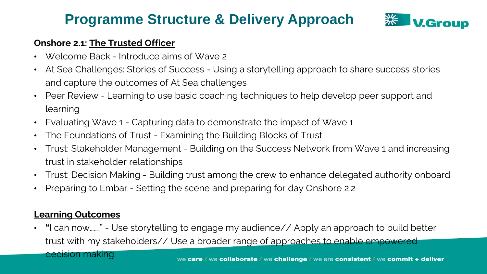

#### **Onshore 2.1: The Trusted Officer**

- Welcome Back Introduce aims of Wave 2
- At Sea Challenges: Stories of Success Using a storytelling approach to share success stories and capture the outcomes of At Sea challenges
- Peer Review Learning to use basic coaching techniques to help develop peer support and learning
- Evaluating Wave 1 Capturing data to demonstrate the impact of Wave 1
- The Foundations of Trust Examining the Building Blocks of Trust
- Trust: Stakeholder Management Building on the Success Network from Wave 1 and increasing trust in stakeholder relationships
- Trust: Decision Making Building trust among the crew to enhance delegated authority onboard
- Preparing to Embar Setting the scene and preparing for day Onshore 2.2

#### **Learning Outcomes**

• **"**I can now……." - Use storytelling to engage my audience// Apply an approach to build better trust with my stakeholders// Use a broader range of approaches to enable empowered decision making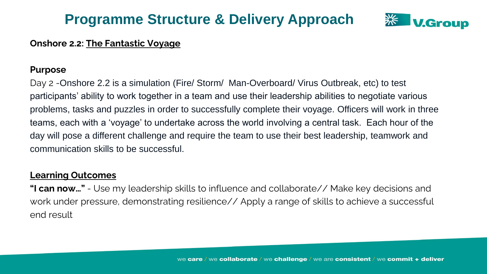

#### **Onshore 2.2: The Fantastic Voyage**

#### **Purpose**

Day 2 -Onshore 2.2 is a simulation (Fire/ Storm/ Man-Overboard/ Virus Outbreak, etc) to test participants' ability to work together in a team and use their leadership abilities to negotiate various problems, tasks and puzzles in order to successfully complete their voyage. Officers will work in three teams, each with a 'voyage' to undertake across the world involving a central task. Each hour of the day will pose a different challenge and require the team to use their best leadership, teamwork and communication skills to be successful.

#### **Learning Outcomes**

**"I can now…"** - Use my leadership skills to influence and collaborate// Make key decisions and work under pressure, demonstrating resilience// Apply a range of skills to achieve a successful end result